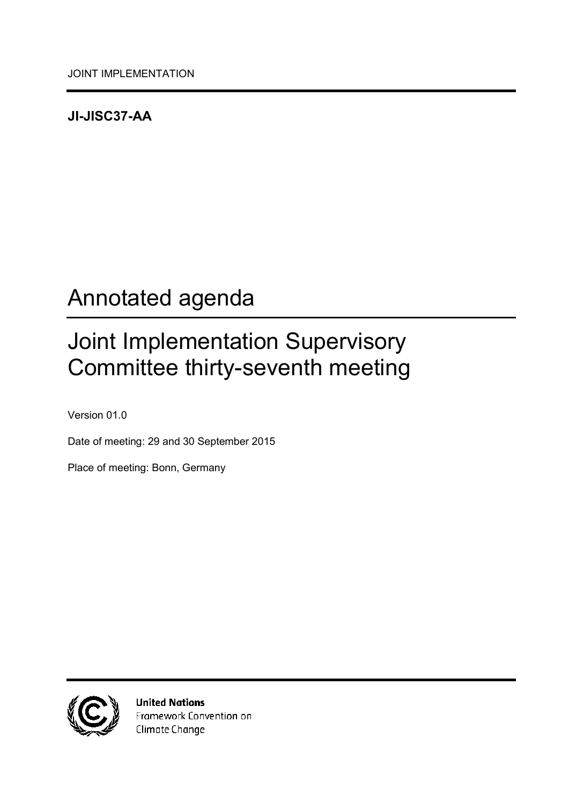### <span id="page-0-0"></span>**JI-JISC37-AA**

# <span id="page-0-1"></span>Annotated agenda

# <span id="page-0-2"></span>Joint Implementation Supervisory Committee thirty-seventh meeting

<span id="page-0-3"></span>Version 01.0

Date of meeting: 29 and 30 September 2015

Place of meeting: Bonn, Germany



**United Nations** Framework Convention on Climate Change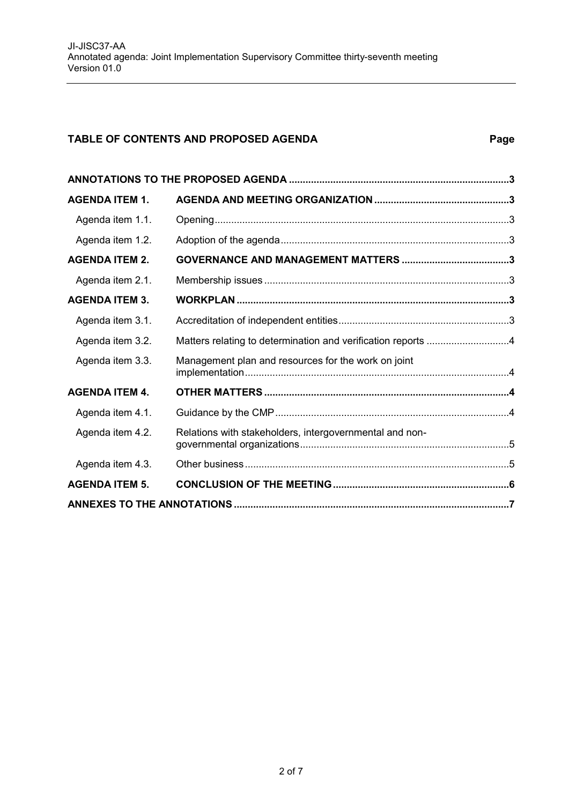#### **TABLE OF CONTENTS AND PROPOSED AGENDA Page**

| <b>AGENDA ITEM 1.</b> |                                                         |  |  |
|-----------------------|---------------------------------------------------------|--|--|
| Agenda item 1.1.      |                                                         |  |  |
| Agenda item 1.2.      |                                                         |  |  |
| <b>AGENDA ITEM 2.</b> |                                                         |  |  |
| Agenda item 2.1.      |                                                         |  |  |
| <b>AGENDA ITEM 3.</b> |                                                         |  |  |
| Agenda item 3.1.      |                                                         |  |  |
| Agenda item 3.2.      |                                                         |  |  |
| Agenda item 3.3.      | Management plan and resources for the work on joint     |  |  |
| <b>AGENDA ITEM 4.</b> |                                                         |  |  |
| Agenda item 4.1.      |                                                         |  |  |
| Agenda item 4.2.      | Relations with stakeholders, intergovernmental and non- |  |  |
| Agenda item 4.3.      |                                                         |  |  |
| <b>AGENDA ITEM 5.</b> |                                                         |  |  |
|                       |                                                         |  |  |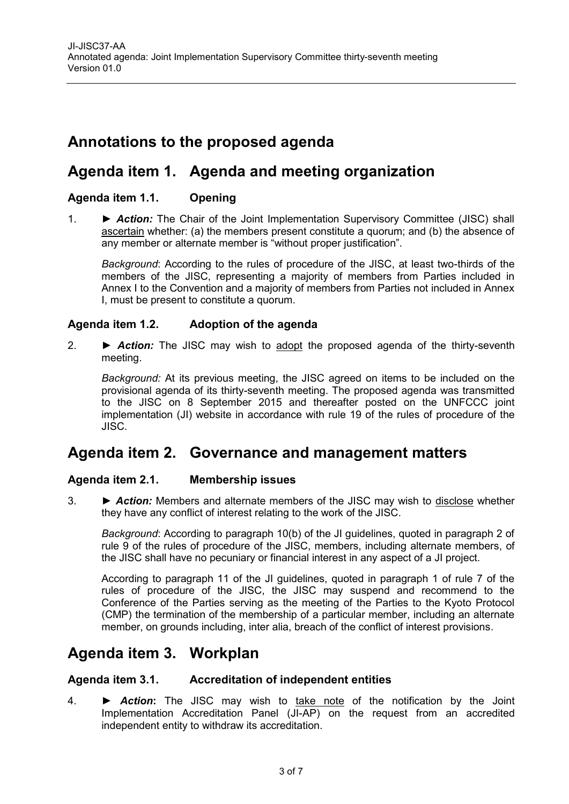# <span id="page-2-0"></span>**Annotations to the proposed agenda**

# <span id="page-2-1"></span>**Agenda item 1. Agenda and meeting organization**

#### <span id="page-2-2"></span>**Agenda item 1.1. Opening**

1. ► *Action:* The Chair of the Joint Implementation Supervisory Committee (JISC) shall ascertain whether: (a) the members present constitute a quorum; and (b) the absence of any member or alternate member is "without proper justification".

*Background*: According to the rules of procedure of the JISC, at least two-thirds of the members of the JISC, representing a majority of members from Parties included in Annex I to the Convention and a majority of members from Parties not included in Annex I, must be present to constitute a quorum.

#### <span id="page-2-3"></span>**Agenda item 1.2. Adoption of the agenda**

2. ► *Action:* The JISC may wish to adopt the proposed agenda of the thirty-seventh meeting.

*Background:* At its previous meeting, the JISC agreed on items to be included on the provisional agenda of its thirty-seventh meeting. The proposed agenda was transmitted to the JISC on 8 September 2015 and thereafter posted on the UNFCCC joint implementation (JI) website in accordance with rule 19 of the rules of procedure of the JISC.

# <span id="page-2-4"></span>**Agenda item 2. Governance and management matters**

#### <span id="page-2-5"></span>**Agenda item 2.1. Membership issues**

3. ► *Action:* Members and alternate members of the JISC may wish to disclose whether they have any conflict of interest relating to the work of the JISC.

*Background*: According to paragraph 10(b) of the JI guidelines, quoted in paragraph 2 of rule 9 of the rules of procedure of the JISC, members, including alternate members, of the JISC shall have no pecuniary or financial interest in any aspect of a JI project.

According to paragraph 11 of the JI guidelines, quoted in paragraph 1 of rule 7 of the rules of procedure of the JISC, the JISC may suspend and recommend to the Conference of the Parties serving as the meeting of the Parties to the Kyoto Protocol (CMP) the termination of the membership of a particular member, including an alternate member, on grounds including, inter alia, breach of the conflict of interest provisions.

# <span id="page-2-6"></span>**Agenda item 3. Workplan**

#### <span id="page-2-7"></span>**Agenda item 3.1. Accreditation of independent entities**

4. **►** *Action***:** The JISC may wish to take note of the notification by the Joint Implementation Accreditation Panel (JI-AP) on the request from an accredited independent entity to withdraw its accreditation.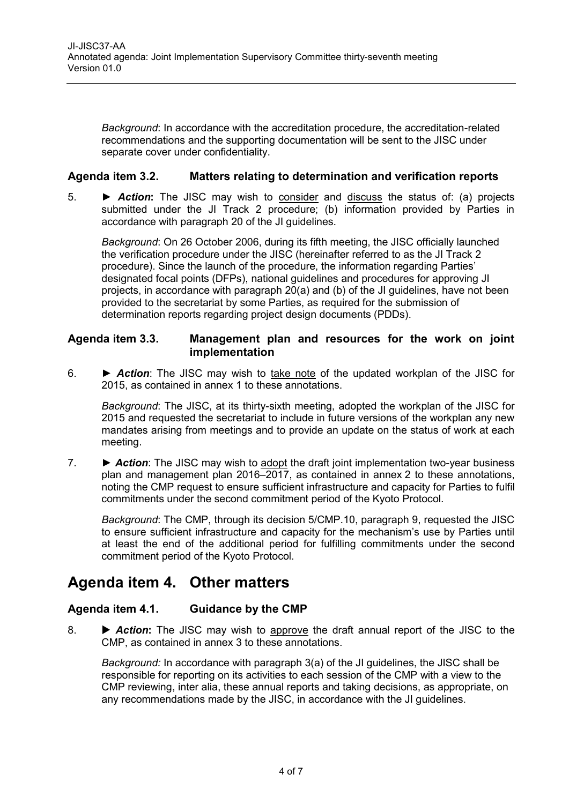*Background*: In accordance with the accreditation procedure, the accreditation-related recommendations and the supporting documentation will be sent to the JISC under separate cover under confidentiality.

#### <span id="page-3-0"></span>**Agenda item 3.2. Matters relating to determination and verification reports**

5. **►** *Action***:** The JISC may wish to consider and discuss the status of: (a) projects submitted under the JI Track 2 procedure; (b) information provided by Parties in accordance with paragraph 20 of the JI guidelines.

*Background*: On 26 October 2006, during its fifth meeting, the JISC officially launched the verification procedure under the JISC (hereinafter referred to as the JI Track 2 procedure). Since the launch of the procedure, the information regarding Parties' designated focal points (DFPs), national guidelines and procedures for approving JI projects, in accordance with paragraph 20(a) and (b) of the JI guidelines, have not been provided to the secretariat by some Parties, as required for the submission of determination reports regarding project design documents (PDDs).

#### <span id="page-3-1"></span>**Agenda item 3.3. Management plan and resources for the work on joint implementation**

6. ► *Action*: The JISC may wish to take note of the updated workplan of the JISC for 2015, as contained in annex 1 to these annotations.

*Background*: The JISC, at its thirty-sixth meeting, adopted the workplan of the JISC for 2015 and requested the secretariat to include in future versions of the workplan any new mandates arising from meetings and to provide an update on the status of work at each meeting.

7. ► *Action*: The JISC may wish to adopt the draft joint implementation two-year business plan and management plan 2016–2017, as contained in annex 2 to these annotations, noting the CMP request to ensure sufficient infrastructure and capacity for Parties to fulfil commitments under the second commitment period of the Kyoto Protocol.

*Background*: The CMP, through its decision 5/CMP.10, paragraph 9, requested the JISC to ensure sufficient infrastructure and capacity for the mechanism's use by Parties until at least the end of the additional period for fulfilling commitments under the second commitment period of the Kyoto Protocol.

# <span id="page-3-2"></span>**Agenda item 4. Other matters**

#### <span id="page-3-3"></span>**Agenda item 4.1. Guidance by the CMP**

8. **• Action:** The JISC may wish to approve the draft annual report of the JISC to the CMP, as contained in annex 3 to these annotations.

*Background:* In accordance with paragraph 3(a) of the JI guidelines, the JISC shall be responsible for reporting on its activities to each session of the CMP with a view to the CMP reviewing, inter alia, these annual reports and taking decisions, as appropriate, on any recommendations made by the JISC, in accordance with the JI guidelines.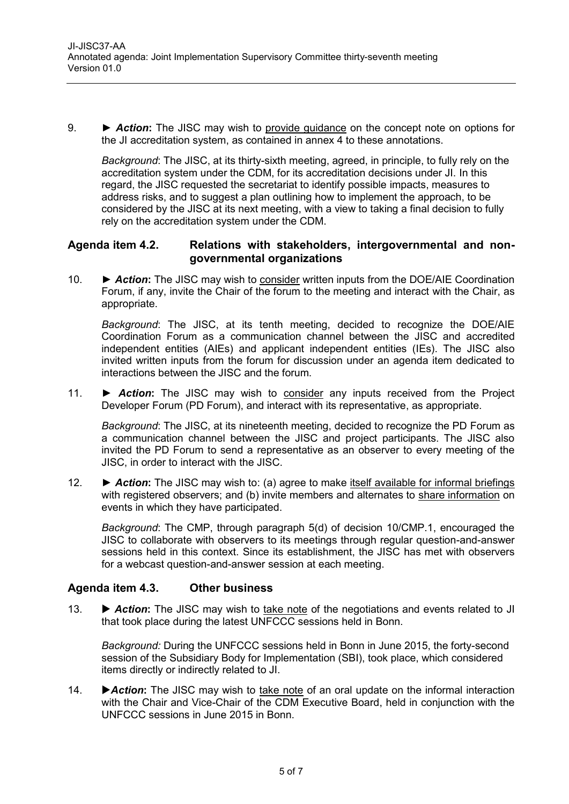9. **►** *Action***:** The JISC may wish to provide guidance on the concept note on options for the JI accreditation system, as contained in annex 4 to these annotations.

*Background*: The JISC, at its thirty-sixth meeting, agreed, in principle, to fully rely on the accreditation system under the CDM, for its accreditation decisions under JI. In this regard, the JISC requested the secretariat to identify possible impacts, measures to address risks, and to suggest a plan outlining how to implement the approach, to be considered by the JISC at its next meeting, with a view to taking a final decision to fully rely on the accreditation system under the CDM.

#### <span id="page-4-0"></span>**Agenda item 4.2. Relations with stakeholders, intergovernmental and nongovernmental organizations**

10. **►** *Action***:** The JISC may wish to consider written inputs from the DOE/AIE Coordination Forum, if any, invite the Chair of the forum to the meeting and interact with the Chair, as appropriate.

*Background*: The JISC, at its tenth meeting, decided to recognize the DOE/AIE Coordination Forum as a communication channel between the JISC and accredited independent entities (AIEs) and applicant independent entities (IEs). The JISC also invited written inputs from the forum for discussion under an agenda item dedicated to interactions between the JISC and the forum.

11. **►** *Action***:** The JISC may wish to consider any inputs received from the Project Developer Forum (PD Forum), and interact with its representative, as appropriate.

*Background*: The JISC, at its nineteenth meeting, decided to recognize the PD Forum as a communication channel between the JISC and project participants. The JISC also invited the PD Forum to send a representative as an observer to every meeting of the JISC, in order to interact with the JISC.

12. **►** *Action***:** The JISC may wish to: (a) agree to make itself available for informal briefings with registered observers; and (b) invite members and alternates to share information on events in which they have participated.

*Background*: The CMP, through paragraph 5(d) of decision 10/CMP.1, encouraged the JISC to collaborate with observers to its meetings through regular question-and-answer sessions held in this context. Since its establishment, the JISC has met with observers for a webcast question-and-answer session at each meeting.

#### <span id="page-4-1"></span>**Agenda item 4.3. Other business**

13. • **Action:** The JISC may wish to take note of the negotiations and events related to JI that took place during the latest UNFCCC sessions held in Bonn.

*Background:* During the UNFCCC sessions held in Bonn in June 2015, the forty-second session of the Subsidiary Body for Implementation (SBI), took place, which considered items directly or indirectly related to JI.

14. **Action:** The JISC may wish to take note of an oral update on the informal interaction with the Chair and Vice-Chair of the CDM Executive Board, held in conjunction with the UNFCCC sessions in June 2015 in Bonn.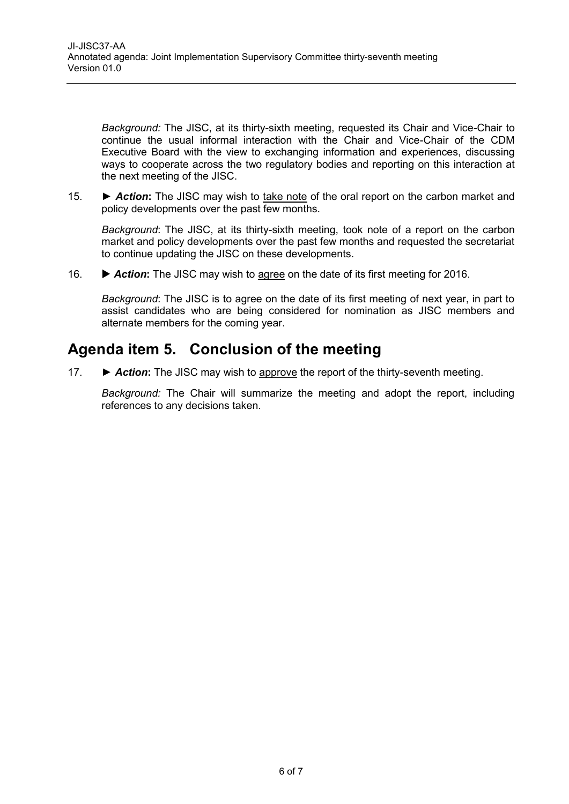*Background:* The JISC, at its thirty-sixth meeting, requested its Chair and Vice-Chair to continue the usual informal interaction with the Chair and Vice-Chair of the CDM Executive Board with the view to exchanging information and experiences, discussing ways to cooperate across the two regulatory bodies and reporting on this interaction at the next meeting of the JISC.

15. *► Action***:** The JISC may wish to take note of the oral report on the carbon market and policy developments over the past few months.

*Background*: The JISC, at its thirty-sixth meeting, took note of a report on the carbon market and policy developments over the past few months and requested the secretariat to continue updating the JISC on these developments.

16.  $\blacktriangleright$  **Action:** The JISC may wish to agree on the date of its first meeting for 2016.

*Background*: The JISC is to agree on the date of its first meeting of next year, in part to assist candidates who are being considered for nomination as JISC members and alternate members for the coming year.

# <span id="page-5-0"></span>**Agenda item 5. Conclusion of the meeting**

17. ► *Action***:** The JISC may wish to approve the report of the thirty-seventh meeting.

*Background:* The Chair will summarize the meeting and adopt the report, including references to any decisions taken.